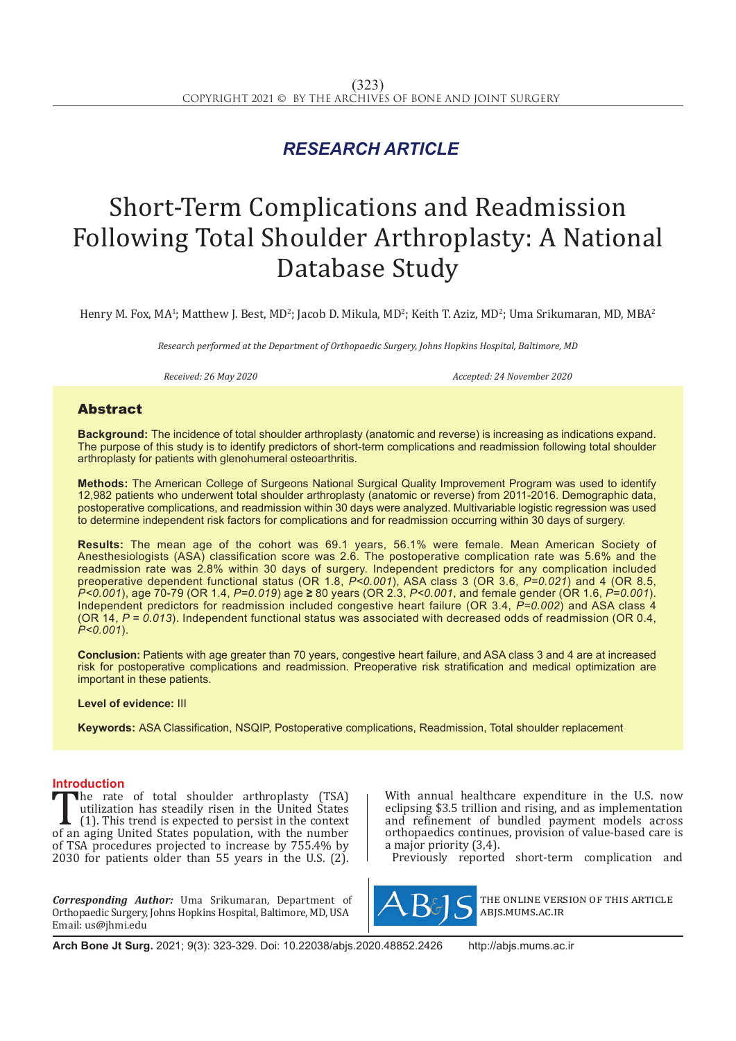## *RESEARCH ARTICLE*

# Short-Term Complications and Readmission Following Total Shoulder Arthroplasty: A National Database Study

Henry M. Fox, MA<sup>1</sup>; Matthew J. Best, MD<sup>2</sup>; Jacob D. Mikula, MD<sup>2</sup>; Keith T. Aziz, MD<sup>2</sup>; Uma Srikumaran, MD, MBA<sup>2</sup>

*Research performed at the Department of Orthopaedic Surgery, Johns Hopkins Hospital, Baltimore, MD*

*Received: 26 May 2020 Accepted: 24 November 2020*

#### Abstract

**Background:** The incidence of total shoulder arthroplasty (anatomic and reverse) is increasing as indications expand. The purpose of this study is to identify predictors of short-term complications and readmission following total shoulder arthroplasty for patients with glenohumeral osteoarthritis.

**Methods:** The American College of Surgeons National Surgical Quality Improvement Program was used to identify 12,982 patients who underwent total shoulder arthroplasty (anatomic or reverse) from 2011-2016. Demographic data, postoperative complications, and readmission within 30 days were analyzed. Multivariable logistic regression was used to determine independent risk factors for complications and for readmission occurring within 30 days of surgery.

**Results:** The mean age of the cohort was 69.1 years, 56.1% were female. Mean American Society of Anesthesiologists (ASA) classification score was 2.6. The postoperative complication rate was 5.6% and the readmission rate was 2.8% within 30 days of surgery. Independent predictors for any complication included preoperative dependent functional status (OR 1.8, *P<0.001*), ASA class 3 (OR 3.6, *P=0.021*) and 4 (OR 8.5, *P<0.001*), age 70-79 (OR 1.4, *P=0.019*) age **≥** 80 years (OR 2.3, *P<0.001*, and female gender (OR 1.6, *P=0.001*). Independent predictors for readmission included congestive heart failure (OR 3.4, *P=0.002*) and ASA class 4 (OR 14, *P = 0.013*). Independent functional status was associated with decreased odds of readmission (OR 0.4, *P<0.001*).

**Conclusion:** Patients with age greater than 70 years, congestive heart failure, and ASA class 3 and 4 are at increased risk for postoperative complications and readmission. Preoperative risk stratification and medical optimization are important in these patients.

#### **Level of evidence:** III

**Keywords:** ASA Classification, NSQIP, Postoperative complications, Readmission, Total shoulder replacement

#### **Introduction**

The rate of total shoulder arthroplasty (TSA)<br>utilization has steadily risen in the United States<br>(1). This trend is expected to persist in the context<br>of an aging United States population, with the number<br>of TSA procedur utilization has steadily risen in the United States (1). This trend is expected to persist in the context of an aging United States population, with the number of TSA procedures projected to increase by 755.4% by 2030 for patients older than 55 years in the U.S. (2).

*Corresponding Author:* Uma Srikumaran, Department of Orthopaedic Surgery, Johns Hopkins Hospital, Baltimore, MD, USA Email: us@jhmi.edu

With annual healthcare expenditure in the U.S. now eclipsing \$3.5 trillion and rising, and as implementation and refinement of bundled payment models across orthopaedics continues, provision of value-based care is a major priority (3,4).

Previously reported short-term complication and



the online version of this article abjs.mums.ac.ir

**Arch Bone Jt Surg.** 2021; 9(3): 323-329. Doi: 10.22038/abjs.2020.48852.2426 http://abjs.mums.ac.ir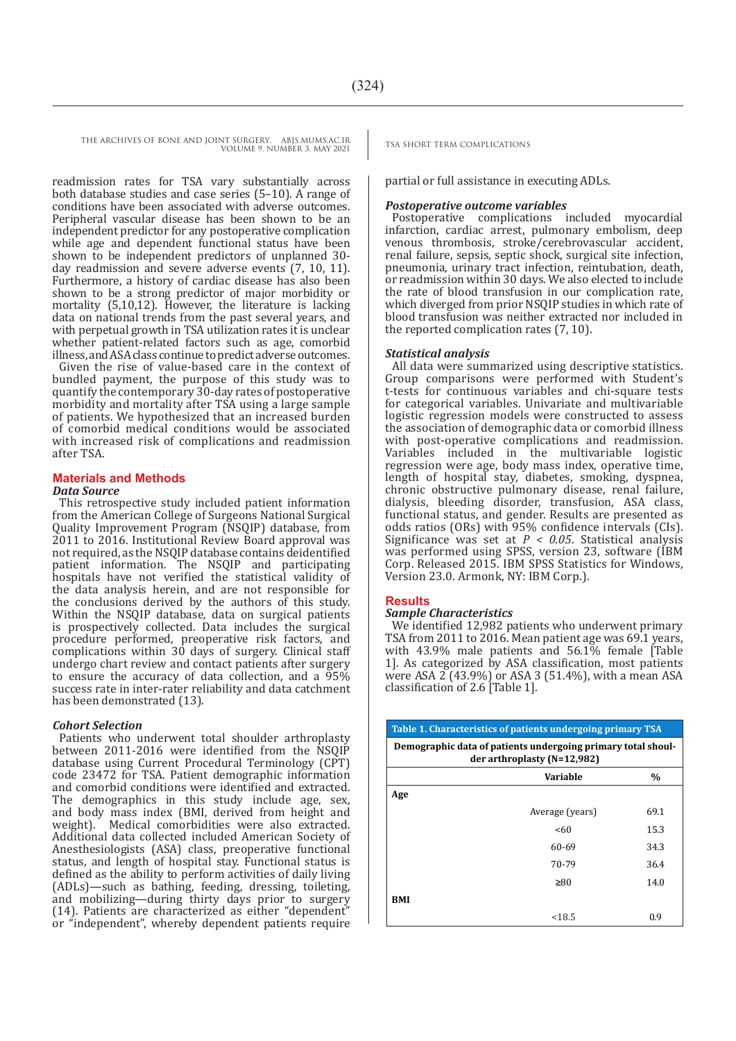THE ARCHIVES OF BONE AND JOINT SURGERY. ABJS.MUMS.AC.IR TSA SHORT TERM COMPLICATIONS

VOLUME 9. NUMBER 3. MAY 2021

readmission rates for TSA vary substantially across both database studies and case series (5–10). A range of conditions have been associated with adverse outcomes. Peripheral vascular disease has been shown to be an independent predictor for any postoperative complication while age and dependent functional status have been shown to be independent predictors of unplanned 30 day readmission and severe adverse events (7, 10, 11). Furthermore, a history of cardiac disease has also been shown to be a strong predictor of major morbidity or mortality (5,10,12). However, the literature is lacking data on national trends from the past several years, and with perpetual growth in TSA utilization rates it is unclear whether patient-related factors such as age, comorbid illness, and ASA class continue to predict adverse outcomes.

Given the rise of value-based care in the context of bundled payment, the purpose of this study was to quantify the contemporary 30-day rates of postoperative morbidity and mortality after TSA using a large sample of patients. We hypothesized that an increased burden of comorbid medical conditions would be associated with increased risk of complications and readmission after TSA.

## **Materials and Methods**

#### *Data Source*

This retrospective study included patient information from the American College of Surgeons National Surgical Quality Improvement Program (NSQIP) database, from 2011 to 2016. Institutional Review Board approval was not required, as the NSQIP database contains deidentified patient information. The NSQIP and participating hospitals have not verified the statistical validity of the data analysis herein, and are not responsible for the conclusions derived by the authors of this study. Within the NSQIP database, data on surgical patients is prospectively collected. Data includes the surgical procedure performed, preoperative risk factors, and complications within 30 days of surgery. Clinical staff undergo chart review and contact patients after surgery to ensure the accuracy of data collection, and a 95% success rate in inter-rater reliability and data catchment has been demonstrated (13).

#### *Cohort Selection*

Patients who underwent total shoulder arthroplasty between 2011-2016 were identified from the NSQIP database using Current Procedural Terminology (CPT) code 23472 for TSA. Patient demographic information and comorbid conditions were identified and extracted. The demographics in this study include age, sex, and body mass index (BMI, derived from height and Medical comorbidities were also extracted. Additional data collected included American Society of Anesthesiologists (ASA) class, preoperative functional status, and length of hospital stay. Functional status is defined as the ability to perform activities of daily living (ADLs)—such as bathing, feeding, dressing, toileting, and mobilizing—during thirty days prior to surgery (14). Patients are characterized as either "dependent" or "independent", whereby dependent patients require

partial or full assistance in executing ADLs.

#### *Postoperative outcome variables*

Postoperative complications included myocardial infarction, cardiac arrest, pulmonary embolism, deep venous thrombosis, stroke/cerebrovascular accident, renal failure, sepsis, septic shock, surgical site infection, pneumonia, urinary tract infection, reintubation, death, or readmission within 30 days. We also elected to include the rate of blood transfusion in our complication rate, which diverged from prior NSQIP studies in which rate of blood transfusion was neither extracted nor included in the reported complication rates (7, 10).

#### *Statistical analysis*

All data were summarized using descriptive statistics. Group comparisons were performed with Student's t-tests for continuous variables and chi-square tests for categorical variables. Univariate and multivariable logistic regression models were constructed to assess the association of demographic data or comorbid illness with post-operative complications and readmission. Variables included in the multivariable logistic regression were age, body mass index, operative time, length of hospital stay, diabetes, smoking, dyspnea, chronic obstructive pulmonary disease, renal failure, dialysis, bleeding disorder, transfusion, ASA class, functional status, and gender. Results are presented as odds ratios (ORs) with 95% confidence intervals (CIs). Significance was set at  $P < 0.05$ . Statistical analysis was performed using SPSS, version 23, software (IBM Corp. Released 2015. IBM SPSS Statistics for Windows, Version 23.0. Armonk, NY: IBM Corp.).

#### **Results**

#### *Sample Characteristics*

We identified 12,982 patients who underwent primary TSA from 2011 to 2016. Mean patient age was 69.1 years, with 43.9% male patients and 56.1% female [Table 1]. As categorized by ASA classification, most patients were ASA 2 (43.9%) or ASA 3 (51.4%), with a mean ASA classification of 2.6 [Table 1].

| Table 1. Characteristics of patients undergoing primary TSA                                 |                 |               |  |  |  |
|---------------------------------------------------------------------------------------------|-----------------|---------------|--|--|--|
| Demographic data of patients undergoing primary total shoul-<br>der arthroplasty (N=12,982) |                 |               |  |  |  |
|                                                                                             | Variable        | $\frac{0}{0}$ |  |  |  |
| Age                                                                                         |                 |               |  |  |  |
|                                                                                             | Average (years) | 69.1          |  |  |  |
|                                                                                             | <60             | 15.3          |  |  |  |
|                                                                                             | 60-69           | 34.3          |  |  |  |
|                                                                                             | 70-79           | 36.4          |  |  |  |
|                                                                                             | $\geq 80$       | 14.0          |  |  |  |
| BMI                                                                                         |                 |               |  |  |  |
|                                                                                             | < 18.5          | 0.9           |  |  |  |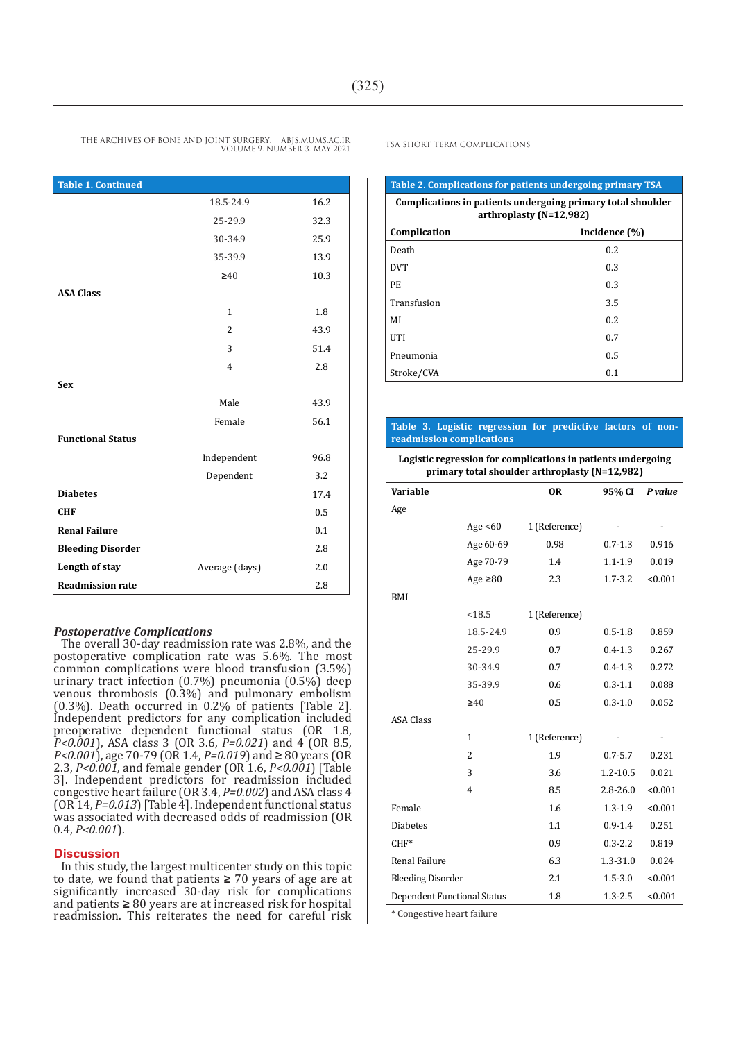**Table 1. Continued** 18.5-24.9 16.2 25-29.9 32.3 30-34.9 25.9 35-39.9 13.9 **≥**40 10.3 **ASA Class** 1 1.8 2 43.9 3 51.4 4 2.8 **Sex** Male 43.9 Female 56.1 **Functional Status** Independent 96.8 Dependent 3.2 **Diabetes** 17.4

**CHF** 0.5 **Renal Failure** 0.1 **Bleeding Disorder** 2.8 **Length of stay Average (days)** 2.0 **Readmission rate** 2.8

#### *Postoperative Complications*

The overall 30-day readmission rate was 2.8%, and the postoperative complication rate was 5.6%. The most common complications were blood transfusion (3.5%) urinary tract infection (0.7%) pneumonia (0.5%) deep venous thrombosis (0.3%) and pulmonary embolism (0.3%). Death occurred in 0.2% of patients [Table 2]. Independent predictors for any complication included preoperative dependent functional status (OR 1.8, *P<0.001*), ASA class 3 (OR 3.6, *P=0.021*) and 4 (OR 8.5, *P<0.001*), age 70-79 (OR 1.4, *P=0.019*) and **≥** 80 years (OR 2.3, *P<0.001*, and female gender (OR 1.6, *P<0.001*) [Table 3]. Independent predictors for readmission included congestive heart failure (OR 3.4, *P=0.002*) and ASA class 4 (OR 14, *P=0.013*) [Table 4]. Independent functional status was associated with decreased odds of readmission (OR 0.4, *P<0.001*).

#### **Discussion**

In this study, the largest multicenter study on this topic to date, we found that patients **≥** 70 years of age are at significantly increased 30-day risk for complications and patients **≥** 80 years are at increased risk for hospital readmission. This reiterates the need for careful risk

### **Table 2. Complications for patients undergoing primary TSA Complications in patients undergoing primary total shoulder arthroplasty (N=12,982) Complication Incidence (%)** Death 0.2  $DVT$  0.3  $PE$  0.3 Transfusion 3.5  $M1$  0.2

#### **Table 3. Logistic regression for predictive factors of nonreadmission complications**

UTI  $0.7$ Pneumonia 0.5 Stroke/CVA 0.1

**Logistic regression for complications in patients undergoing primary total shoulder arthroplasty (N=12,982)**

| Variable                           |                | <b>OR</b>     | 95% CI       | P value |
|------------------------------------|----------------|---------------|--------------|---------|
| Age                                |                |               |              |         |
|                                    | Age $<60$      | 1 (Reference) |              |         |
|                                    | Age 60-69      | 0.98          | $0.7 - 1.3$  | 0.916   |
|                                    | Age 70-79      | 1.4           | $1.1 - 1.9$  | 0.019   |
|                                    | Age $\geq 80$  | 2.3           | $1.7 - 3.2$  | < 0.001 |
| BMI                                |                |               |              |         |
|                                    | < 18.5         | 1 (Reference) |              |         |
|                                    | 18.5-24.9      | 0.9           | $0.5 - 1.8$  | 0.859   |
|                                    | 25-29.9        | 0.7           | $0.4 - 1.3$  | 0.267   |
|                                    | 30-34.9        | 0.7           | $0.4 - 1.3$  | 0.272   |
|                                    | 35-39.9        | 0.6           | $0.3 - 1.1$  | 0.088   |
|                                    | $\geq 40$      | 0.5           | $0.3 - 1.0$  | 0.052   |
| <b>ASA Class</b>                   |                |               |              |         |
|                                    | 1              | 1 (Reference) |              |         |
|                                    | $\overline{2}$ | 1.9           | $0.7 - 5.7$  | 0.231   |
|                                    | 3              | 3.6           | $1.2 - 10.5$ | 0.021   |
|                                    | 4              | 8.5           | $2.8 - 26.0$ | < 0.001 |
| Female                             |                | 1.6           | $1.3 - 1.9$  | < 0.001 |
| <b>Diabetes</b>                    |                | 1.1           | $0.9 - 1.4$  | 0.251   |
| $CHF*$                             |                | 0.9           | $0.3 - 2.2$  | 0.819   |
| Renal Failure                      |                | 6.3           | 1.3-31.0     | 0.024   |
| <b>Bleeding Disorder</b>           |                | 2.1           | $1.5 - 3.0$  | < 0.001 |
| <b>Dependent Functional Status</b> |                | 1.8           | $1.3 - 2.5$  | < 0.001 |
|                                    |                |               |              |         |

\* Congestive heart failure

THE ARCHIVES OF BONE AND JOINT SURGERY. ABJS.MUMS.AC.IR TSA SHORT TERM COMPLICATIONS VOLUME 9. NUMBER 3. MAY 2021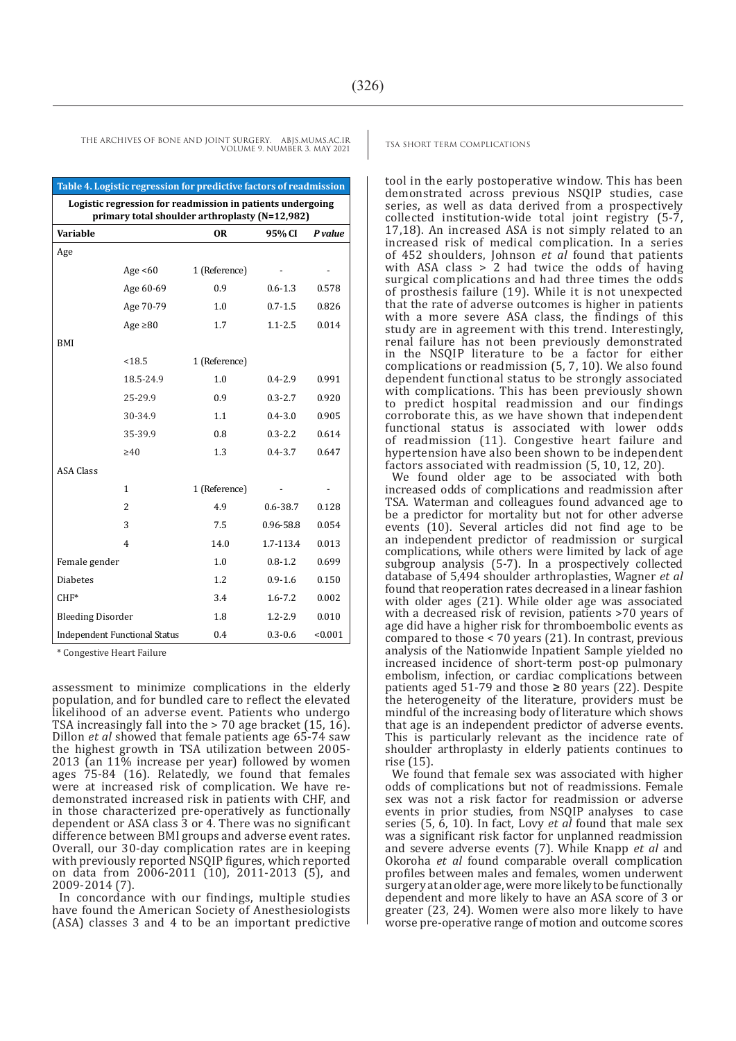tool in the early postoperative window. This has been demonstrated across previous NSQIP studies, case series, as well as data derived from a prospectively collected institution-wide total joint registry (5-7, 17,18). An increased ASA is not simply related to an increased risk of medical complication. In a series of 452 shoulders, Johnson *et al* found that patients with ASA class  $> 2$  had twice the odds of having surgical complications and had three times the odds of prosthesis failure (19). While it is not unexpected that the rate of adverse outcomes is higher in patients with a more severe ASA class, the findings of this study are in agreement with this trend. Interestingly, renal failure has not been previously demonstrated in the NSQIP literature to be a factor for either complications or readmission (5, 7, 10). We also found dependent functional status to be strongly associated with complications. This has been previously shown to predict hospital readmission and our findings corroborate this, as we have shown that independent functional status is associated with lower odds of readmission (11). Congestive heart failure and hypertension have also been shown to be independent factors associated with readmission (5, 10, 12, 20).

We found older age to be associated with both increased odds of complications and readmission after TSA. Waterman and colleagues found advanced age to be a predictor for mortality but not for other adverse events (10). Several articles did not find age to be an independent predictor of readmission or surgical complications, while others were limited by lack of age subgroup analysis (5-7). In a prospectively collected database of 5,494 shoulder arthroplasties, Wagner *et al*  found that reoperation rates decreased in a linear fashion with older ages (21). While older age was associated with a decreased risk of revision, patients >70 years of age did have a higher risk for thromboembolic events as compared to those < 70 years (21). In contrast, previous analysis of the Nationwide Inpatient Sample yielded no increased incidence of short-term post-op pulmonary embolism, infection, or cardiac complications between patients aged 51-79 and those **≥** 80 years (22). Despite the heterogeneity of the literature, providers must be mindful of the increasing body of literature which shows that age is an independent predictor of adverse events. This is particularly relevant as the incidence rate of shoulder arthroplasty in elderly patients continues to rise (15).

We found that female sex was associated with higher odds of complications but not of readmissions. Female sex was not a risk factor for readmission or adverse events in prior studies, from NSQIP analyses to case series (5, 6, 10). In fact, Lovy *et al* found that male sex was a significant risk factor for unplanned readmission and severe adverse events (7). While Knapp *et al* and Okoroha *et al* found comparable overall complication profiles between males and females, women underwent surgery at an older age, were more likely to be functionally dependent and more likely to have an ASA score of 3 or greater (23, 24). Women were also more likely to have worse pre-operative range of motion and outcome scores

THE ARCHIVES OF BONE AND JOINT SURGERY. ABJS.MUMS.AC.IR TSA SHORT TERM COMPLICATIONS VOLUME 9. NUMBER 3. MAY 2021

| Table 4. Logistic regression for predictive factors of readmission                                           |                |               |              |         |  |  |
|--------------------------------------------------------------------------------------------------------------|----------------|---------------|--------------|---------|--|--|
| Logistic regression for readmission in patients undergoing<br>primary total shoulder arthroplasty (N=12,982) |                |               |              |         |  |  |
| Variable                                                                                                     |                | <b>OR</b>     | 95% CI       | P value |  |  |
| Age                                                                                                          |                |               |              |         |  |  |
|                                                                                                              | Age $<60$      | 1 (Reference) |              |         |  |  |
|                                                                                                              | Age 60-69      | 0.9           | $0.6 - 1.3$  | 0.578   |  |  |
|                                                                                                              | Age 70-79      | 1.0           | $0.7 - 1.5$  | 0.826   |  |  |
|                                                                                                              | Age $\geq 80$  | 1.7           | $1.1 - 2.5$  | 0.014   |  |  |
| <b>BMI</b>                                                                                                   |                |               |              |         |  |  |
|                                                                                                              | < 18.5         | 1 (Reference) |              |         |  |  |
|                                                                                                              | 18.5-24.9      | 1.0           | $0.4 - 2.9$  | 0.991   |  |  |
|                                                                                                              | 25-29.9        | 0.9           | $0.3 - 2.7$  | 0.920   |  |  |
|                                                                                                              | 30-34.9        | 1.1           | $0.4 - 3.0$  | 0.905   |  |  |
|                                                                                                              | 35-39.9        | 0.8           | $0.3 - 2.2$  | 0.614   |  |  |
|                                                                                                              | $\geq 40$      | 1.3           | $0.4 - 3.7$  | 0.647   |  |  |
| <b>ASA Class</b>                                                                                             |                |               |              |         |  |  |
|                                                                                                              | $\mathbf{1}$   | 1 (Reference) |              |         |  |  |
|                                                                                                              | $\overline{2}$ | 4.9           | $0.6 - 38.7$ | 0.128   |  |  |
|                                                                                                              | 3              | 7.5           | 0.96-58.8    | 0.054   |  |  |
|                                                                                                              | 4              | 14.0          | 1.7-113.4    | 0.013   |  |  |
| Female gender                                                                                                |                | 1.0           | $0.8 - 1.2$  | 0.699   |  |  |
| <b>Diabetes</b>                                                                                              |                | 1.2           | $0.9 - 1.6$  | 0.150   |  |  |
| $CHF*$                                                                                                       |                | 3.4           | $1.6 - 7.2$  | 0.002   |  |  |
| <b>Bleeding Disorder</b>                                                                                     |                | 1.8           | $1.2 - 2.9$  | 0.010   |  |  |
| <b>Independent Functional Status</b>                                                                         |                | 0.4           | $0.3 - 0.6$  | < 0.001 |  |  |

\* Congestive Heart Failure

assessment to minimize complications in the elderly population, and for bundled care to reflect the elevated likelihood of an adverse event. Patients who undergo TSA increasingly fall into the  $> 70$  age bracket (15, 16). Dillon *et al* showed that female patients age 65-74 saw the highest growth in TSA utilization between 2005- 2013 (an 11% increase per year) followed by women ages 75-84 (16). Relatedly, we found that females were at increased risk of complication. We have redemonstrated increased risk in patients with CHF, and in those characterized pre-operatively as functionally dependent or ASA class 3 or 4. There was no significant difference between BMI groups and adverse event rates. Overall, our 30-day complication rates are in keeping with previously reported NSQIP figures, which reported on data from 2006-2011 (10), 2011-2013 (5), and 2009-2014 (7).

In concordance with our findings, multiple studies have found the American Society of Anesthesiologists (ASA) classes 3 and 4 to be an important predictive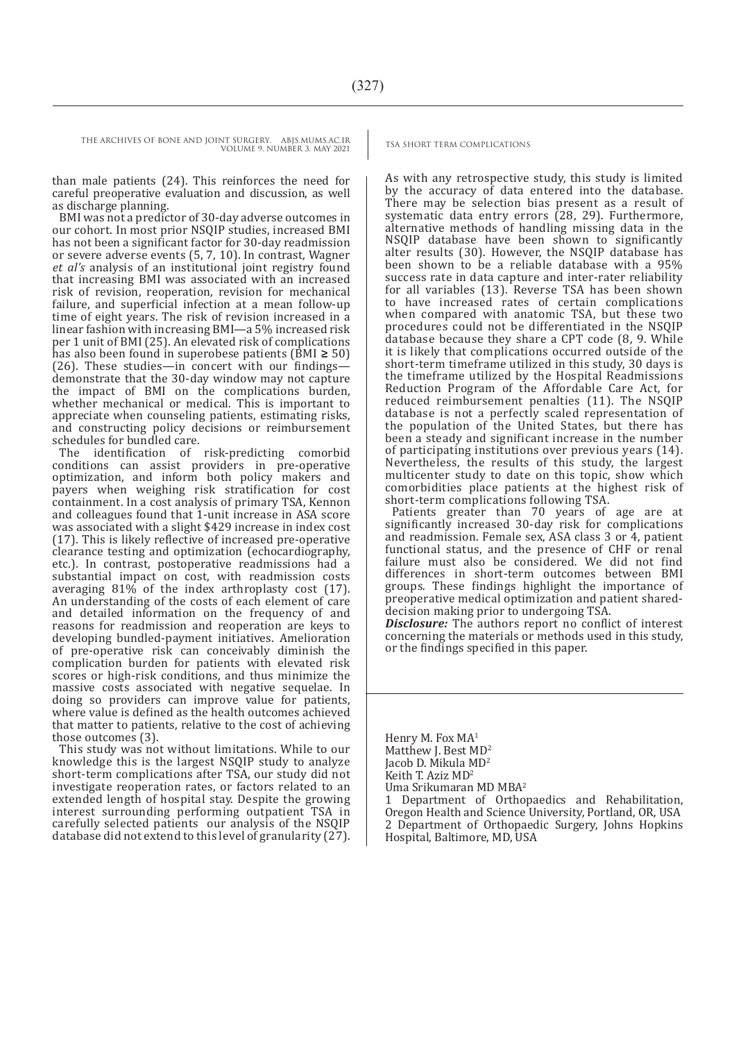THE ARCHIVES OF BONE AND JOINT SURGERY. ABJS.MUMS.AC.IR TSA SHORT TERM COMPLICATIONS

VOLUME 9. NUMBER 3. MAY 2021

than male patients (24). This reinforces the need for careful preoperative evaluation and discussion, as well as discharge planning.

BMI was not a predictor of 30-day adverse outcomes in our cohort. In most prior NSQIP studies, increased BMI has not been a significant factor for 30-day readmission or severe adverse events (5, 7, 10). In contrast, Wagner *et al's* analysis of an institutional joint registry found that increasing BMI was associated with an increased risk of revision, reoperation, revision for mechanical failure, and superficial infection at a mean follow-up time of eight years. The risk of revision increased in a linear fashion with increasing BMI—a 5% increased risk per 1 unit of BMI (25). An elevated risk of complications has also been found in superobese patients (BMI **≥** 50) (26). These studies—in concert with our findings demonstrate that the 30-day window may not capture the impact of BMI on the complications burden, whether mechanical or medical. This is important to appreciate when counseling patients, estimating risks, and constructing policy decisions or reimbursement

schedules for bundled care.<br>The identification of risk-predicting comorbid conditions can assist providers in pre-operative optimization, and inform both policy makers and payers when weighing risk stratification for cost containment. In a cost analysis of primary TSA, Kennon and colleagues found that 1-unit increase in ASA score was associated with a slight \$429 increase in index cost (17). This is likely reflective of increased pre-operative clearance testing and optimization (echocardiography, etc.). In contrast, postoperative readmissions had a substantial impact on cost, with readmission costs averaging 81% of the index arthroplasty cost (17). An understanding of the costs of each element of care and detailed information on the frequency of and reasons for readmission and reoperation are keys to developing bundled-payment initiatives. Amelioration of pre-operative risk can conceivably diminish the complication burden for patients with elevated risk scores or high-risk conditions, and thus minimize the massive costs associated with negative sequelae. In doing so providers can improve value for patients, where value is defined as the health outcomes achieved that matter to patients, relative to the cost of achieving those outcomes (3).

This study was not without limitations. While to our knowledge this is the largest NSQIP study to analyze short-term complications after TSA, our study did not investigate reoperation rates, or factors related to an extended length of hospital stay. Despite the growing interest surrounding performing outpatient TSA in carefully selected patients our analysis of the NSQIP database did not extend to this level of granularity (27).

As with any retrospective study, this study is limited by the accuracy of data entered into the database. There may be selection bias present as a result of systematic data entry errors (28, 29). Furthermore, alternative methods of handling missing data in the NSQIP database have been shown to significantly alter results (30). However, the NSQIP database has been shown to be a reliable database with a 95% success rate in data capture and inter-rater reliability for all variables (13). Reverse TSA has been shown to have increased rates of certain complications when compared with anatomic TSA, but these two procedures could not be differentiated in the NSQIP database because they share a CPT code (8, 9. While it is likely that complications occurred outside of the short-term timeframe utilized in this study, 30 days is the timeframe utilized by the Hospital Readmissions Reduction Program of the Affordable Care Act, for reduced reimbursement penalties (11). The NSQIP database is not a perfectly scaled representation of the population of the United States, but there has been a steady and significant increase in the number of participating institutions over previous years (14). Nevertheless, the results of this study, the largest multicenter study to date on this topic, show which comorbidities place patients at the highest risk of short-term complications following TSA.

Patients greater than 70 years of age are at significantly increased 30-day risk for complications and readmission. Female sex, ASA class 3 or 4, patient functional status, and the presence of CHF or renal failure must also be considered. We did not find differences in short-term outcomes between BMI groups. These findings highlight the importance of preoperative medical optimization and patient shareddecision making prior to undergoing TSA.

*Disclosure:* The authors report no conflict of interest concerning the materials or methods used in this study, or the findings specified in this paper.

Henry M. Fox MA<sup>1</sup> Matthew J. Best MD<sup>2</sup> Jacob D. Mikula MD<sup>2</sup> Keith T. Aziz MD2 Uma Srikumaran MD MBA<sup>2</sup> 1 Department of Orthopaedics and Rehabilitation, Oregon Health and Science University, Portland, OR, USA 2 Department of Orthopaedic Surgery, Johns Hopkins Hospital, Baltimore, MD, USA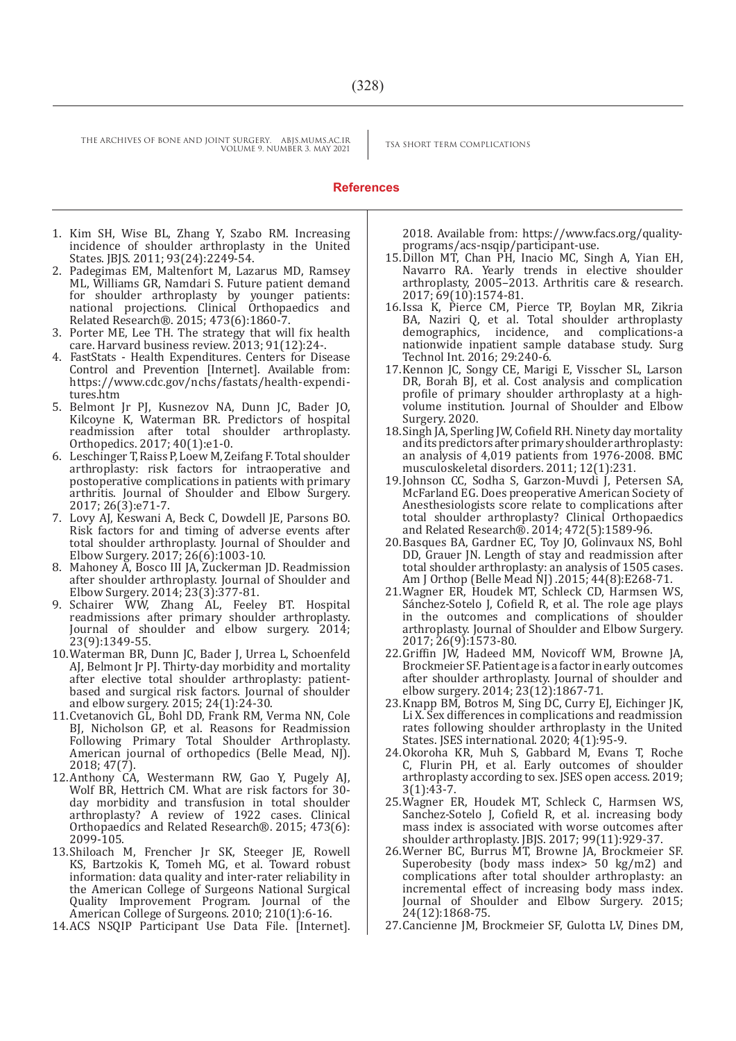VOLUME 9. NUMBER 3. MAY 2021

THE ARCHIVES OF BONE AND JOINT SURGERY. ABJS.MUMS.AC.IR TSA SHORT TERM COMPLICATIONS

#### **References**

- 1. Kim SH, Wise BL, Zhang Y, Szabo RM. Increasing incidence of shoulder arthroplasty in the United States. JBJS. 2011; 93(24):2249-54.
- 2. Padegimas EM, Maltenfort M, Lazarus MD, Ramsey ML, Williams GR, Namdari S. Future patient demand for shoulder arthroplasty by younger patients: national projections. Clinical Orthopaedics and Related Research®. 2015; 473(6):1860-7.
- 3. Porter ME, Lee TH. The strategy that will fix health care. Harvard business review. 2013; 91(12):24-.
- 4. FastStats Health Expenditures. Centers for Disease Control and Prevention [Internet]. Available from: https://www.cdc.gov/nchs/fastats/health-expenditures.htm
- 5. Belmont Jr PJ, Kusnezov NA, Dunn JC, Bader JO, Kilcoyne K, Waterman BR. Predictors of hospital readmission after total shoulder arthroplasty. Orthopedics. 2017; 40(1):e1-0.
- 6. Leschinger T, Raiss P, Loew M, Zeifang F. Total shoulder arthroplasty: risk factors for intraoperative and postoperative complications in patients with primary arthritis. Journal of Shoulder and Elbow Surgery. 2017; 26(3):e71-7.
- 7. Lovy AJ, Keswani A, Beck C, Dowdell JE, Parsons BO. Risk factors for and timing of adverse events after total shoulder arthroplasty. Journal of Shoulder and Elbow Surgery. 2017; 26(6):1003-10.
- 8. Mahoney A, Bosco III JA, Zuckerman JD. Readmission after shoulder arthroplasty. Journal of Shoulder and Elbow Surgery. 2014; 23(3):377-81.
- 9. Schairer WW, Zhang AL, Feeley BT. Hospital readmissions after primary shoulder arthroplasty. Journal of shoulder and elbow surgery. 2014; 23(9):1349-55.
- 10.Waterman BR, Dunn JC, Bader J, Urrea L, Schoenfeld AJ, Belmont Jr PJ. Thirty-day morbidity and mortality after elective total shoulder arthroplasty: patientbased and surgical risk factors. Journal of shoulder and elbow surgery. 2015; 24(1):24-30.
- 11.Cvetanovich GL, Bohl DD, Frank RM, Verma NN, Cole BJ, Nicholson GP, et al. Reasons for Readmission Following Primary Total Shoulder Arthroplasty. American journal of orthopedics (Belle Mead, NJ). 2018; 47(7).
- 12.Anthony CA, Westermann RW, Gao Y, Pugely AJ, Wolf BR, Hettrich CM. What are risk factors for 30 day morbidity and transfusion in total shoulder arthroplasty? A review of 1922 cases. Clinical Orthopaedics and Related Research®. 2015; 473(6): 2099-105.
- 13.Shiloach M, Frencher Jr SK, Steeger JE, Rowell KS, Bartzokis K, Tomeh MG, et al. Toward robust information: data quality and inter-rater reliability in the American College of Surgeons National Surgical Quality Improvement Program. Journal of the American College of Surgeons. 2010; 210(1):6-16.
- 14.ACS NSQIP Participant Use Data File. [Internet].

2018. Available from: https://www.facs.org/qualityprograms/acs-nsqip/participant-use.

- 15.Dillon MT, Chan PH, Inacio MC, Singh A, Yian EH, Navarro RA. Yearly trends in elective shoulder arthroplasty, 2005–2013. Arthritis care & research. 2017; 69(10):1574-81.
- 16.Issa K, Pierce CM, Pierce TP, Boylan MR, Zikria BA, Naziri Q, et al. Total shoulder arthroplasty demographics, incidence, and complications-a incidence, and complications-a nationwide inpatient sample database study. Surg Technol Int. 2016; 29:240-6.
- 17.Kennon JC, Songy CE, Marigi E, Visscher SL, Larson DR, Borah BJ, et al. Cost analysis and complication profile of primary shoulder arthroplasty at a highvolume institution. Journal of Shoulder and Elbow Surgery. 2020.
- 18.Singh JA, Sperling JW, Cofield RH. Ninety day mortality and its predictors after primary shoulder arthroplasty: an analysis of 4,019 patients from 1976-2008. BMC musculoskeletal disorders. 2011; 12(1):231.
- 19.Johnson CC, Sodha S, Garzon-Muvdi J, Petersen SA, McFarland EG. Does preoperative American Society of Anesthesiologists score relate to complications after total shoulder arthroplasty? Clinical Orthopaedics and Related Research®. 2014; 472(5):1589-96.
- 20.Basques BA, Gardner EC, Toy JO, Golinvaux NS, Bohl DD, Grauer JN. Length of stay and readmission after total shoulder arthroplasty: an analysis of 1505 cases. Am J Orthop (Belle Mead NJ) .2015; 44(8):E268-71.
- 21.Wagner ER, Houdek MT, Schleck CD, Harmsen WS, Sánchez-Sotelo J, Cofield R, et al. The role age plays in the outcomes and complications of shoulder arthroplasty. Journal of Shoulder and Elbow Surgery. 2017; 26(9):1573-80.
- 22.Griffin JW, Hadeed MM, Novicoff WM, Browne JA, Brockmeier SF. Patient age is a factor in early outcomes after shoulder arthroplasty. Journal of shoulder and elbow surgery. 2014; 23(12):1867-71.
- 23.Knapp BM, Botros M, Sing DC, Curry EJ, Eichinger JK, Li X. Sex differences in complications and readmission rates following shoulder arthroplasty in the United States. JSES international. 2020; 4(1):95-9.
- 24.Okoroha KR, Muh S, Gabbard M, Evans T, Roche C, Flurin PH, et al. Early outcomes of shoulder arthroplasty according to sex. JSES open access. 2019; 3(1):43-7.
- 25.Wagner ER, Houdek MT, Schleck C, Harmsen WS, Sanchez-Sotelo J, Cofield R, et al. increasing body mass index is associated with worse outcomes after shoulder arthroplasty. JBJS. 2017; 99(11):929-37.
- 26.Werner BC, Burrus MT, Browne JA, Brockmeier SF. Superobesity (body mass index> 50 kg/m2) and complications after total shoulder arthroplasty: an incremental effect of increasing body mass index. Journal of Shoulder and Elbow Surgery. 2015; 24(12):1868-75.
- 27.Cancienne JM, Brockmeier SF, Gulotta LV, Dines DM,